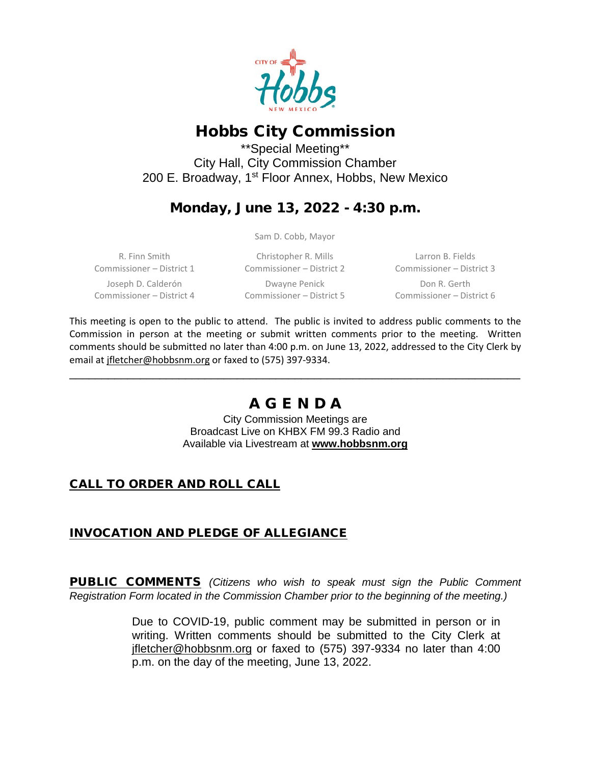

# Hobbs City Commission

\*\*Special Meeting\*\* City Hall, City Commission Chamber 200 E. Broadway, 1st Floor Annex, Hobbs, New Mexico

## Monday, June 13, 2022 - 4:30 p.m.

Sam D. Cobb, Mayor

R. Finn Smith Commissioner – District 1 Joseph D. Calderón Commissioner – District 4

Christopher R. Mills Commissioner – District 2 Dwayne Penick Commissioner – District 5

Larron B. Fields Commissioner – District 3 Don R. Gerth Commissioner – District 6

This meeting is open to the public to attend. The public is invited to address public comments to the Commission in person at the meeting or submit written comments prior to the meeting. Written comments should be submitted no later than 4:00 p.m. on June 13, 2022, addressed to the City Clerk by email a[t jfletcher@hobbsnm.org](mailto:jfletcher@hobbsnm.org) or faxed to (575) 397-9334.

# A G E N D A

\_\_\_\_\_\_\_\_\_\_\_\_\_\_\_\_\_\_\_\_\_\_\_\_\_\_\_\_\_\_\_\_\_\_\_\_\_\_\_\_\_\_\_\_\_\_\_\_\_\_\_\_\_\_\_\_\_\_\_\_\_\_\_\_\_\_\_\_\_\_

City Commission Meetings are Broadcast Live on KHBX FM 99.3 Radio and Available via Livestream at **[www.hobbsnm.org](http://www.hobbsnm.org/)**

### CALL TO ORDER AND ROLL CALL

### INVOCATION AND PLEDGE OF ALLEGIANCE

PUBLIC COMMENTS *(Citizens who wish to speak must sign the Public Comment Registration Form located in the Commission Chamber prior to the beginning of the meeting.)*

> Due to COVID-19, public comment may be submitted in person or in writing. Written comments should be submitted to the City Clerk at jfletcher@hobbsnm.org or faxed to (575) 397-9334 no later than 4:00 p.m. on the day of the meeting, June 13, 2022.